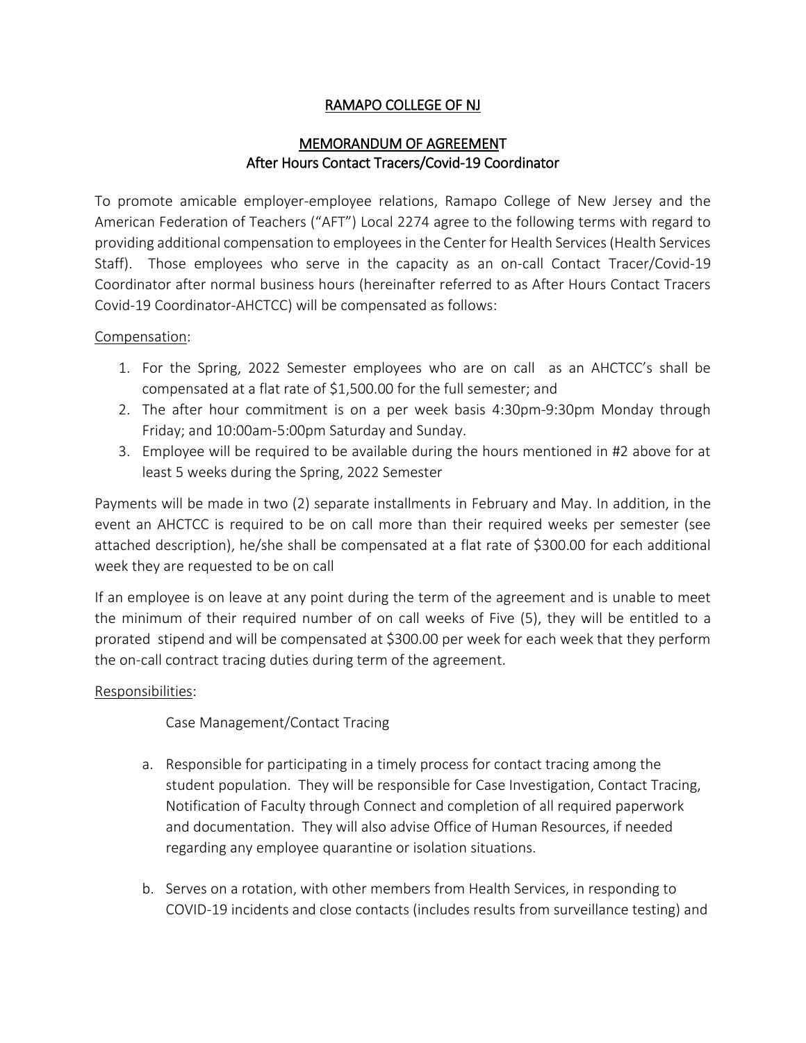## RAMAPO COLLEGE OF NJ

## MEMORANDUM OF AGREEMENT After Hours Contact Tracers/Covid-19 Coordinator

To promote amicable employer-employee relations, Ramapo College of New Jersey and the American Federation of Teachers ("AFT") Local 2274 agree to the following terms with regard to providing additional compensation to employees in the Center for Health Services (Health Services Staff). Those employees who serve in the capacity as an on-call Contact Tracer/Covid-19 Coordinator after normal business hours (hereinafter referred to as After Hours Contact Tracers Covid-19 Coordinator-AHCTCC) will be compensated as follows:

#### Compensation:

- 1. For the Spring, 2022 Semester employees who are on call as an AHCTCC's shall be compensated at a flat rate of \$1,500.00 for the full semester; and
- 2. The after hour commitment is on a per week basis 4:30pm-9:30pm Monday through Friday; and 10:00am-5:00pm Saturday and Sunday.
- 3. Employee will be required to be available during the hours mentioned in #2 above for at least 5 weeks during the Spring, 2022 Semester

Payments will be made in two (2) separate installments in February and May. In addition, in the event an AHCTCC is required to be on call more than their required weeks per semester (see attached description), he/she shall be compensated at a flat rate of \$300.00 for each additional week they are requested to be on call

If an employee is on leave at any point during the term of the agreement and is unable to meet the minimum of their required number of on call weeks of Five (5), they will be entitled to a prorated stipend and will be compensated at \$300.00 per week for each week that they perform the on-call contract tracing duties during term of the agreement.

### Responsibilities:

### Case Management/Contact Tracing

- a. Responsible for participating in a timely process for contact tracing among the student population. They will be responsible for Case Investigation, Contact Tracing, Notification of Faculty through Connect and completion of all required paperwork and documentation. They will also advise Office of Human Resources, if needed regarding any employee quarantine or isolation situations.
- b. Serves on a rotation, with other members from Health Services, in responding to COVID-19 incidents and close contacts (includes results from surveillance testing) and